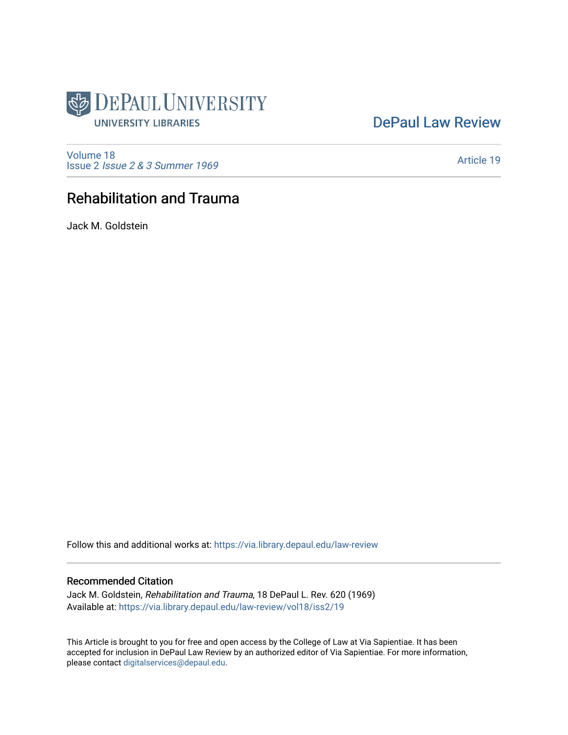

## [DePaul Law Review](https://via.library.depaul.edu/law-review)

[Volume 18](https://via.library.depaul.edu/law-review/vol18) Issue 2 [Issue 2 & 3 Summer 1969](https://via.library.depaul.edu/law-review/vol18/iss2) 

[Article 19](https://via.library.depaul.edu/law-review/vol18/iss2/19) 

# Rehabilitation and Trauma

Jack M. Goldstein

Follow this and additional works at: [https://via.library.depaul.edu/law-review](https://via.library.depaul.edu/law-review?utm_source=via.library.depaul.edu%2Flaw-review%2Fvol18%2Fiss2%2F19&utm_medium=PDF&utm_campaign=PDFCoverPages) 

## Recommended Citation

Jack M. Goldstein, Rehabilitation and Trauma, 18 DePaul L. Rev. 620 (1969) Available at: [https://via.library.depaul.edu/law-review/vol18/iss2/19](https://via.library.depaul.edu/law-review/vol18/iss2/19?utm_source=via.library.depaul.edu%2Flaw-review%2Fvol18%2Fiss2%2F19&utm_medium=PDF&utm_campaign=PDFCoverPages)

This Article is brought to you for free and open access by the College of Law at Via Sapientiae. It has been accepted for inclusion in DePaul Law Review by an authorized editor of Via Sapientiae. For more information, please contact [digitalservices@depaul.edu.](mailto:digitalservices@depaul.edu)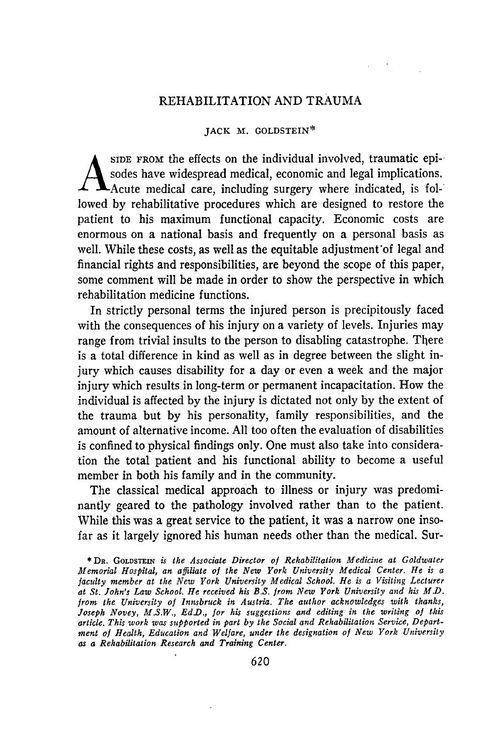### REHABILITATION AND TRAUMA

#### JACK M. GOLDSTEIN\*

**SIDE FROM** the effects on the individual involved, traumatic epi-, sodes have widespread medical, economic and legal implications. Acute medical care, including surgery where indicated, is followed by rehabilitative procedures which are designed to restore the patient to his maximum functional capacity. Economic costs are enormous on a national basis and frequently on a personal basis as well. While these costs, as well as the equitable adjustment'of legal and financial rights and responsibilities, are beyond the scope of this paper, some comment will be made in order to show the perspective in which rehabilitation medicine functions.

In strictly personal terms the injured person is precipitously faced with the consequences of his injury on a variety of levels. Injuries may range from trivial insults to the person to disabling catastrophe. There is a total difference in kind as well as in degree between the slight injury which causes disability for a day or even a week and the major injury which results in long-term or permanent incapacitation. How the individual is affected by the injury is dictated not only by the extent of the trauma but by his personality, family responsibilities, and the amount of alternative income. All too often the evaluation of disabilities is confined to physical findings only. One must also take into consideration the total patient and his functional ability to become a useful member in both his family and in the community.

The classical medical approach to illness or injury was predominantly geared to the pathology involved rather than to the patient. While this was a great service to the patient, it was a narrow one insofar as it largely ignored his human needs other than the medical. Sur-

<sup>\*</sup>DR. GOLDSTEIN *is the Associate Director of Rehabilitation Medicine at Goldwater Memorial Hospital, an affiliate of the New York University Medical Center. He is a faculty member at the New York University Medical School. He is a Visiting Lecturer at St. John's Law School. He received his B.S. from New York University and his M.D. from the University of Innsbruck in Austria. The author acknowledges with thanks, Joseph Novey, M.S.W., Ed.D., for his suggestions and editing in the writing of this article. This work was supported in part by the Social and Rehabilitation Service, Department of Health, Education and Welfare, under the designation of New York University as a Rehabilitation Research and Training Center.*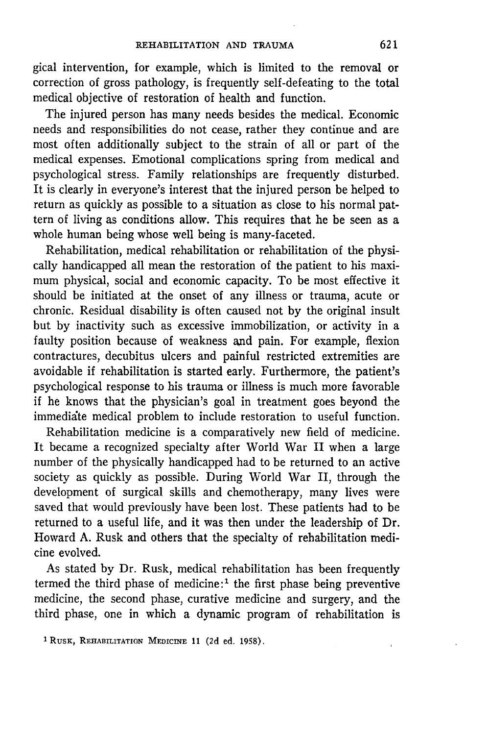gical intervention, for example, which is limited to the removal or correction of gross pathology, is frequently self-defeating to the total medical objective of restoration of health and function.

The injured person has many needs besides the medical. Economic needs and responsibilities do not cease, rather they continue and are most often additionally subject to the strain of all or part of the medical expenses. Emotional complications spring from medical and psychological stress. Family relationships are frequently disturbed. It is clearly in everyone's interest that the injured person be helped to return as quickly as possible to a situation as close to his normal pattern of living as conditions allow. This requires that he be seen as a whole human being whose well being is many-faceted.

Rehabilitation, medical rehabilitation or rehabilitation of the physically handicapped all mean the restoration of the patient to his maximum physical, social and economic capacity. To be most effective it should be initiated at the onset of any illness or trauma, acute or chronic. Residual disability is often caused not by the original insult but by inactivity such as excessive immobilization, or activity in a faulty position because of weakness and pain. For example, flexion contractures, decubitus ulcers and painful restricted extremities are avoidable if rehabilitation is started early. Furthermore, the patient's psychological response to his trauma or illness is much more favorable if he knows that the physician's goal in treatment goes beyond the immedidte medical problem to include restoration to useful function.

Rehabilitation medicine is a comparatively new field of medicine. It became a recognized specialty after World War II when a large number of the physically handicapped had to be returned to an active society as quickly as possible. During World War II, through the development of surgical skills and chemotherapy, many lives were saved that would previously have been lost. These patients had to be returned to a useful life, and it was then under the leadership of Dr. Howard A. Rusk and others that the specialty of rehabilitation medicine evolved.

As stated by Dr. Rusk, medical rehabilitation has been frequently termed the third phase of medicine:<sup>1</sup> the first phase being preventive medicine, the second phase, curative medicine and surgery, and the third phase, one in which a dynamic program of rehabilitation is

**<sup>1</sup> Rusx,** REHABILITATION MEDICINE **11 (2d** ed. **1958).**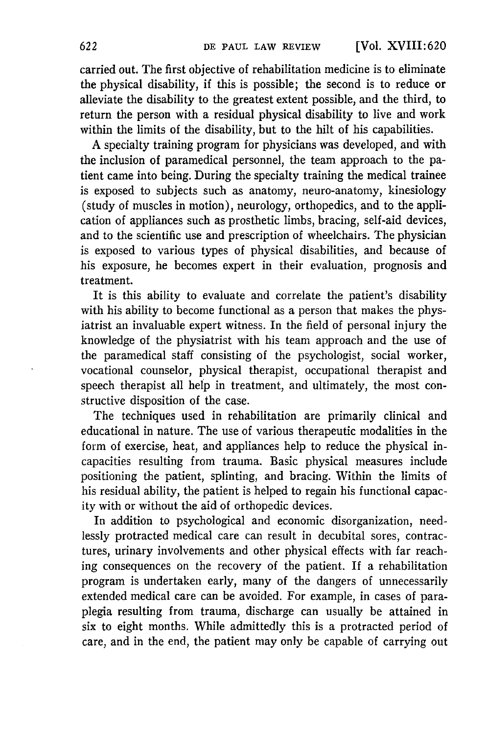carried out. The first objective of rehabilitation medicine is to eliminate the physical disability, if this is possible; the second is to reduce or alleviate the disability to the greatest extent possible, and the third, to return the person with a residual physical disability to live and work within the limits of the disability, but to the hilt of his capabilities.

A specialty training program for physicians was developed, and with the inclusion of paramedical personnel, the team approach to the patient came into being. During the specialty training the medical trainee is exposed to subjects such as anatomy, neuro-anatomy, kinesiology (study of muscles in motion), neurology, orthopedics, and to the application of appliances such as prosthetic limbs, bracing, self-aid devices, and to the scientific use and prescription of wheelchairs. The physician is exposed to various types of physical disabilities, and because of his exposure, he becomes expert in their evaluation, prognosis and treatment.

It is this ability to evaluate and correlate the patient's disability with his ability to become functional as a person that makes the physiatrist an invaluable expert witness. In the field of personal injury the knowledge of the physiatrist with his team approach and the use of the paramedical staff consisting of the psychologist, social worker, vocational counselor, physical therapist, occupational therapist and speech therapist all help in treatment, and ultimately, the most constructive disposition of the case.

The techniques used in rehabilitation are primarily clinical and educational in nature. The use of various therapeutic modalities in the form of exercise, heat, and appliances help to reduce the physical incapacities resulting from trauma. Basic physical measures include positioning the patient, splinting, and bracing. Within the limits of his residual ability, the patient is helped to regain his functional capacity with or without the aid of orthopedic devices.

In addition to psychological and economic disorganization, needlessly protracted medical care can result in decubital sores, contractures, urinary involvements and other physical effects with far reaching consequences on the recovery of the patient. If a rehabilitation program is undertaken early, many of the dangers of unnecessarily extended medical care can be avoided. For example, in cases of paraplegia resulting from trauma, discharge can usually be attained in six to eight months. While admittedly this is a protracted period of care, and in the end, the patient may only be capable of carrying out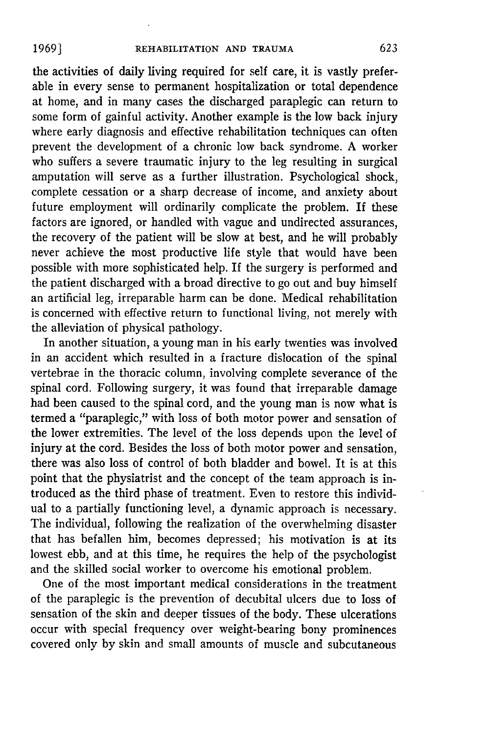the activities of daily living required for self care, it is vastly preferable in every sense to permanent hospitalization or total dependence at home, and in many cases the discharged paraplegic can return to some form of gainful activity. Another example is the low back injury where early diagnosis and effective rehabilitation techniques can often prevent the development of a chronic low back syndrome. A worker who suffers a severe traumatic injury to the leg resulting in surgical amputation will serve as a further illustration. Psychological shock, complete cessation or a sharp decrease of income, and anxiety about future employment will ordinarily complicate the problem. If these factors are ignored, or handled with vague and undirected assurances, the recovery of the patient will be slow at best, and he will probably never achieve the most productive life style that would have been possible with more sophisticated help. If the surgery is performed and the patient discharged with a broad directive to go out and buy himself an artificial leg, irreparable harm can be done. Medical rehabilitation is concerned with effective return to functional living, not merely with the alleviation of physical pathology.

In another situation, a young man in his early twenties was involved in an accident which resulted in a fracture dislocation of the spinal vertebrae in the thoracic column, involving complete severance of the spinal cord. Following surgery, it was found that irreparable damage had been caused to the spinal cord, and the young man is now what is termed a "paraplegic," with loss of both motor power and sensation of the lower extremities. The level of the loss depends upon the level of injury at the cord. Besides the loss of both motor power and sensation, there was also loss of control of both bladder and bowel. It is at this point that the physiatrist and the concept of the team approach is introduced as the third phase of treatment. Even to restore this individual to a partially functioning level, a dynamic approach is necessary. The individual, following the realization of the overwhelming disaster that has befallen him, becomes depressed; his motivation is at its lowest ebb, and at this time, he requires the help of the psychologist and the skilled social worker to overcome his emotional problem.

One of the most important medical considerations in the treatment of the paraplegic is the prevention of decubital ulcers due to loss of sensation of the skin and deeper tissues of the body. These ulcerations occur with special frequency over weight-bearing bony prominences covered only by skin and small amounts of muscle and subcutaneous

**1969]**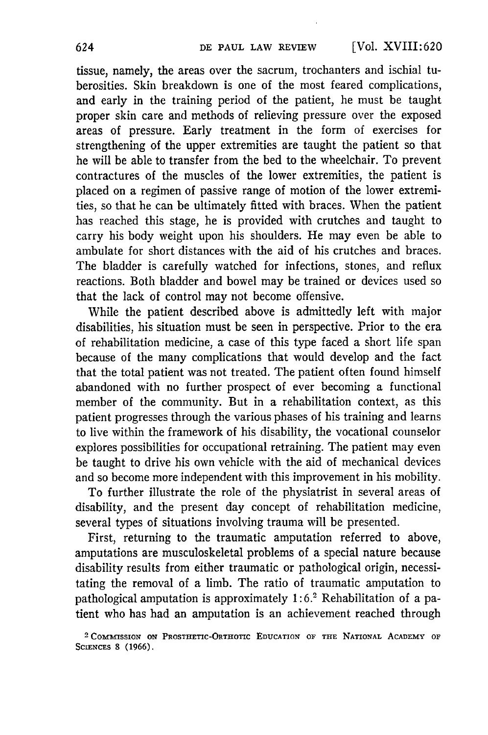tissue, namely, the areas over the sacrum, trochanters and ischial tuberosities. Skin breakdown is one of the most feared complications, and early in the training period of the patient, he must be taught proper skin care and methods of relieving pressure over the exposed areas of pressure. Early treatment in the form of exercises for strengthening of the upper extremities are taught the patient so that he will be able to transfer from the bed to the wheelchair. To prevent contractures of the muscles of the lower extremities, the patient is placed on a regimen of passive range of motion of the lower extremities, so that he can be ultimately fitted with braces. When the patient has reached this stage, he is provided with crutches and taught to carry his body weight upon his shoulders. He may even be able to ambulate for short distances with the aid of his crutches and braces. The bladder is carefully watched for infections, stones, and reflux reactions. Both bladder and bowel may be trained or devices used so that the lack of control may not become offensive.

While the patient described above is admittedly left with major disabilities, his situation must be seen in perspective. Prior to the era of rehabilitation medicine, a case of this type faced a short life span because of the many complications that would develop and the fact that the total patient was not treated. The patient often found himself abandoned with no further prospect of ever becoming a functional member of the community. But in a rehabilitation context, as this patient progresses through the various phases of his training and learns to live within the framework of his disability, the vocational counselor explores possibilities for occupational retraining. The patient may even be taught to drive his own vehicle with the aid of mechanical devices and so become more independent with this improvement in his mobility.

To further illustrate the role of the physiatrist in several areas of disability, and the present day concept of rehabilitation medicine, several types of situations involving trauma will be presented.

First, returning to the traumatic amputation referred to above, amputations are musculoskeletal problems of a special nature because disability results from either traumatic or pathological origin, necessitating the removal of a limb. The ratio of traumatic amputation to pathological amputation is approximately 1:6.<sup>2</sup> Rehabilitation of a patient who has had an amputation is an achievement reached through

<sup>2</sup> **COMMISSION ON PROSTHETIC-ORTHOTIC EDUCATION** OF **THE** NATIONAL ACADEMY **OF** SCIENCES **8 (1966).**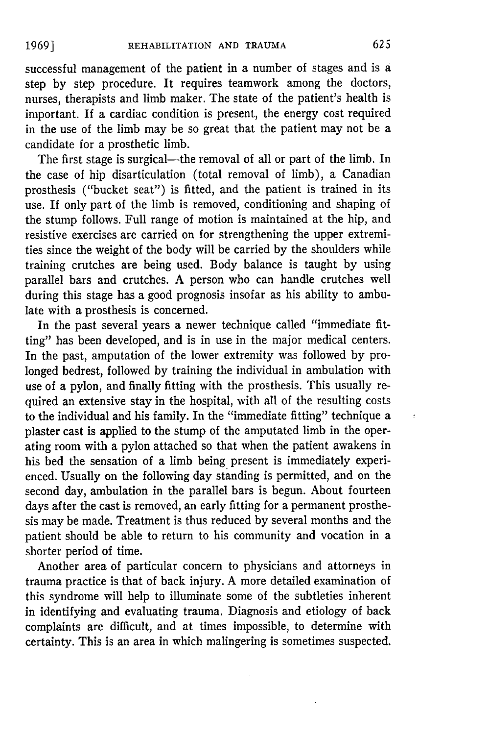successful management of the patient in a number of stages and is a step by step procedure. It requires teamwork among the doctors, nurses, therapists and limb maker. The state of the patient's health is important. If a cardiac condition is present, the energy cost required in the use of the limb may be so great that the patient may not be a candidate for a prosthetic limb.

The first stage is surgical-the removal of all or part of the limb. In the case of hip disarticulation (total removal of limb), a Canadian prosthesis ("bucket seat") is fitted, and the patient is trained in its use. If only part of the limb is removed, conditioning and shaping of the stump follows. Full range of motion is maintained at the hip, and resistive exercises are carried on for strengthening the upper extremities since the weight of the body will be carried by the shoulders while training crutches are being used. Body balance is taught by using parallel bars and crutches. A person who can handle crutches well during this stage has a good prognosis insofar as his ability to ambulate with a prosthesis is concerned.

In the past several years a newer technique called "immediate fitting" has been developed, and is in use in the major medical centers. In the past, amputation of the lower extremity was followed by prolonged bedrest, followed by training the individual in ambulation with use of a pylon, and finally fitting with the prosthesis. This usually required an extensive stay in the hospital, with all of the resulting costs to the individual and his family. In the "immediate fitting" technique a plaster cast is applied to the stump of the amputated limb in the operating room with a pylon attached so that when the patient awakens in his bed the sensation of a limb being present is immediately experienced. Usually on the following day standing is permitted, and on the second day, ambulation in the parallel bars is begun. About fourteen days after the cast is removed, an early fitting for a permanent prosthesis may be made. Treatment is thus reduced by several months and the patient should be able to return to his community and vocation in a shorter period of time.

Another area of particular concern to physicians and attorneys in trauma practice is that of back injury. A more detailed examination of this syndrome will help to illuminate some of the subtleties inherent in identifying and evaluating trauma. Diagnosis and etiology of back complaints are difficult, and at times impossible, to determine with certainty. This is an area in which malingering is sometimes suspected.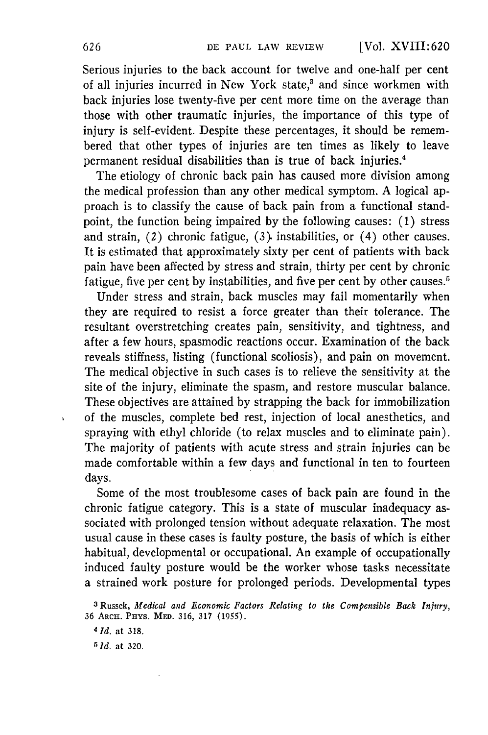Serious injuries to the back account for twelve and one-half per cent of all injuries incurred in New York state,<sup>3</sup> and since workmen with back injuries lose twenty-five per cent more time on the average than those with other traumatic injuries, the importance of this type of injury is self-evident. Despite these percentages, it should be remembered that other types of injuries are ten times as likely to leave permanent residual disabilities than is true of back injuries.'

The etiology of chronic back pain has caused more division among the medical profession than any other medical symptom. A logical approach is to classify the cause of back pain from a functional standpoint, the function being impaired by the following causes: (1) stress and strain, (2) chronic fatigue, (3). instabilities, or (4) other causes. It is estimated that approximately sixty per cent of patients with back pain have been affected by stress and strain, thirty per cent by chronic fatigue, five per cent by instabilities, and five per cent by other causes.<sup>5</sup>

Under stress and strain, back muscles may fail momentarily when they are required to resist a force greater than their tolerance. The resultant overstretching creates pain, sensitivity, and tightness, and after a few hours, spasmodic reactions occur. Examination of the back reveals stiffness, listing (functional scoliosis), and pain on movement. The medical objective in such cases is to relieve the sensitivity at the site of the injury, eliminate the spasm, and restore muscular balance. These objectives are attained by strapping the back for immobilization of the muscles, complete bed rest, injection of local anesthetics, and spraying with ethyl chloride (to relax muscles and to eliminate pain). The majority of patients with acute stress and strain injuries can be made comfortable within a few days and functional in ten to fourteen days.

Some of the most troublesome cases of back pain are found in the chronic fatigue category. This is a state of muscular inadequacy associated with prolonged tension without adequate relaxation. The most usual cause in these cases is faulty posture, the basis of which is either habitual, developmental or occupational. An example of occupationally induced faulty posture would be the worker whose tasks necessitate a strained work posture for prolonged periods. Developmental types

 $\ddot{\phantom{0}}$ 

**<sup>3</sup>** Russek, *Medical and Economic Factors Relating to the Compensible Back Injury,* 36 ARCH. PHYS. MED. 316, 317 (1955).

*<sup>4</sup>Id.* at 318.

*<sup>5</sup> Id.* at 320.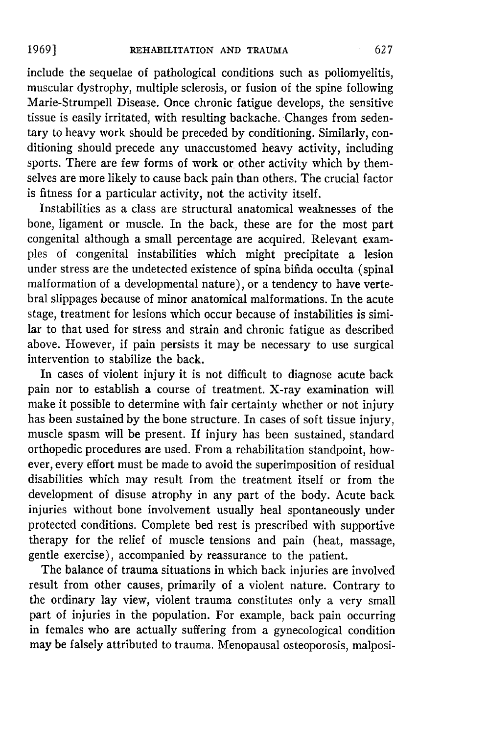include the sequelae of pathological conditions such as poliomyelitis, muscular dystrophy, multiple sclerosis, or fusion of the spine following Marie-Strumpell Disease. Once chronic fatigue develops, the sensitive tissue is easily irritated, with resulting backache. Changes from sedentary to heavy work should be preceded by conditioning. Similarly, conditioning should precede any unaccustomed heavy activity, including sports. There are few forms of work or other activity which by themselves are more likely to cause back pain than others. The crucial factor is fitness for a particular activity, not the activity itself.

Instabilities as a class are structural anatomical weaknesses of the bone, ligament or muscle. In the back, these are for the most part congenital although a small percentage are acquired. Relevant examples of congenital instabilities which might precipitate a lesion under stress are the undetected existence of spina bifida occulta (spinal malformation of a developmental nature), or a tendency to have vertebral slippages because of minor anatomical malformations. In the acute stage, treatment for lesions which occur because of instabilities is similar to that used for stress and strain and chronic fatigue as described above. However, if pain persists it may be necessary to use surgical intervention to stabilize the back.

In cases of violent injury it is not difficult to diagnose acute back pain nor to establish a course of treatment. X-ray examination will make it possible to determine with fair certainty whether or not injury has been sustained by the bone structure. In cases of soft tissue injury, muscle spasm will be present. If injury has been sustained, standard orthopedic procedures are used. From a rehabilitation standpoint, however, every effort must be made to avoid the superimposition of residual disabilities which may result from the treatment itself or from the development of disuse atrophy in any part of the body. Acute back injuries without bone involvement usually heal spontaneously under protected conditions. Complete bed rest is prescribed with supportive therapy for the relief of muscle tensions and pain (heat, massage, gentle exercise), accompanied by reassurance to the patient.

The balance of trauma situations in which back injuries are involved result from other causes, primarily of a violent nature. Contrary to the ordinary lay view, violent trauma constitutes only a very small part of injuries in the population. For example, back pain occurring in females who are actually suffering from a gynecological condition may be falsely attributed to trauma. Menopausal osteoporosis, malposi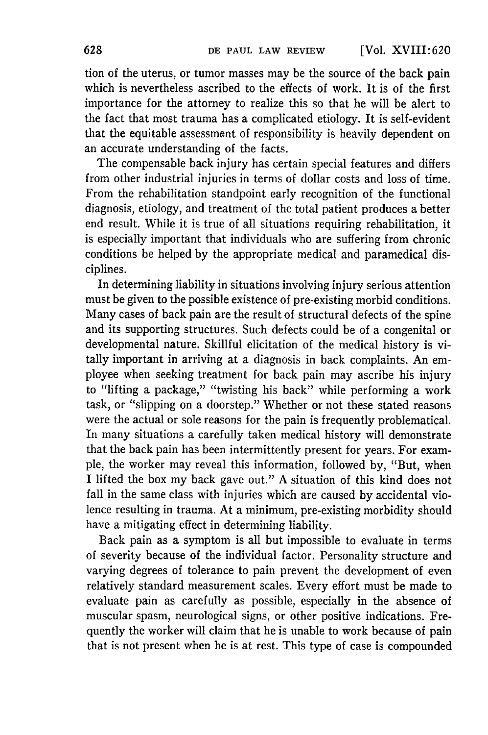tion of the uterus, or tumor masses may be the source of the back pain which is nevertheless ascribed to the effects of work. It is of the first importance for the attorney to realize this so that he will be alert to the fact that most trauma has a complicated etiology. It is self-evident that the equitable assessment of responsibility is heavily dependent on an accurate understanding of the facts.

The compensable back injury has certain special features and differs from other industrial injuries in terms of dollar costs and loss of time. From the rehabilitation standpoint early recognition of the functional diagnosis, etiology, and treatment of the total patient produces a better end result. While it is true of all situations requiring rehabilitation, it is especially important that individuals who are suffering from chronic conditions be helped by the appropriate medical and paramedical disciplines.

In determining liability in situations involving injury serious attention must be given to the possible existence of pre-existing morbid conditions. Many cases of back pain are the result of structural defects of the spine and its supporting structures. Such defects could be of a congenital or developmental nature. Skillful elicitation of the medical history is vitally important in arriving at a diagnosis in back complaints. An employee when seeking treatment for back pain may ascribe his injury to "lifting a package," "twisting his back" while performing a work task, or "slipping on a doorstep." Whether or not these stated reasons were the actual or sole reasons for the pain is frequently problematical. In many situations a carefully taken medical history will demonstrate that the back pain has been intermittently present for years. For example, the worker may reveal this information, followed by, "But, when I lifted the box my back gave out." A situation of this kind does not fall in the same class with injuries which are caused by accidental violence resulting in trauma. At a minimum, pre-existing morbidity should have a mitigating effect in determining liability.

Back pain as a symptom is all but impossible to evaluate in terms of severity because of the individual factor. Personality structure and varying degrees of tolerance to pain prevent the development of even relatively standard measurement scales. Every effort must be made to evaluate pain as carefully as possible, especially in the absence of muscular spasm, neurological signs, or other positive indications. Frequently the worker will claim that he is unable to work because of pain that is not present when he is at rest. This type of case is compounded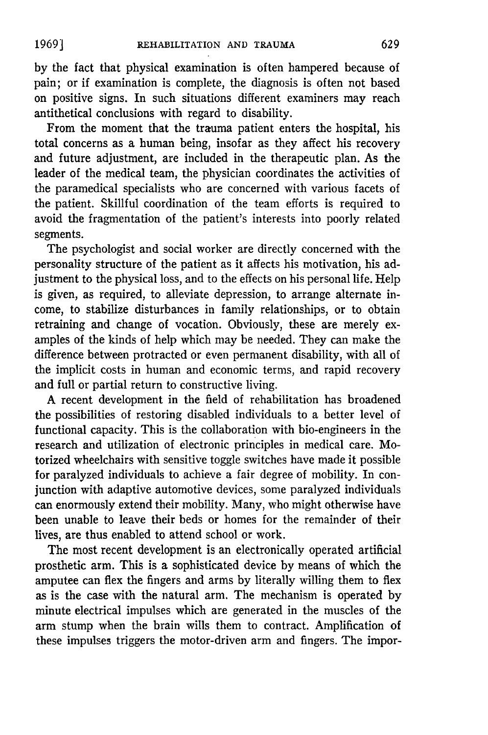by the fact that physical examination is often hampered because of pain; or if examination is complete, the diagnosis is often not based on positive signs. In such situations different examiners may reach antithetical conclusions with regard to disability.

From the moment that the trauma patient enters the hospital, his total concerns as a human being, insofar as they affect his recovery and future adjustment, are included in the therapeutic plan. As the leader of the medical team, the physician coordinates the activities of the paramedical specialists who are concerned with various facets of the patient. Skillful coordination of the team efforts is required to avoid the fragmentation of the patient's interests into poorly related segments.

The psychologist and social worker are directly concerned with the personality structure of the patient as it affects his motivation, his adjustment to the physical loss, and to the effects on his personal life. Help is given, as required, to alleviate depression, to arrange alternate income, to stabilize disturbances in family relationships, or to obtain retraining and change of vocation. Obviously, these are merely examples of the kinds of help which may be needed. They can make the difference between protracted or even permanent disability, with all of the implicit costs in human and economic terms, and rapid recovery and full or partial return to constructive living.

A recent development in the field of rehabilitation has broadened the possibilities of restoring disabled individuals to a better level of functional capacity. This is the collaboration with bio-engineers in the research and utilization of electronic principles in medical care. Motorized wheelchairs with sensitive toggle switches have made it possible for paralyzed individuals to achieve a fair degree of mobility. In conjunction with adaptive automotive devices, some paralyzed individuals can enormously extend their mobility. Many, who might otherwise have been unable to leave their beds or homes for the remainder of their lives, are thus enabled to attend school or work.

The most recent development is an electronically operated artificial prosthetic arm. This is a sophisticated device by means of which the amputee can flex the fingers and arms by literally willing them to flex as is the case with the natural arm. The mechanism is operated by minute electrical impulses which are generated in the muscles of the arm stump when the brain wills them to contract. Amplification of these impulses triggers the motor-driven arm and fingers. The impor-

**1969]**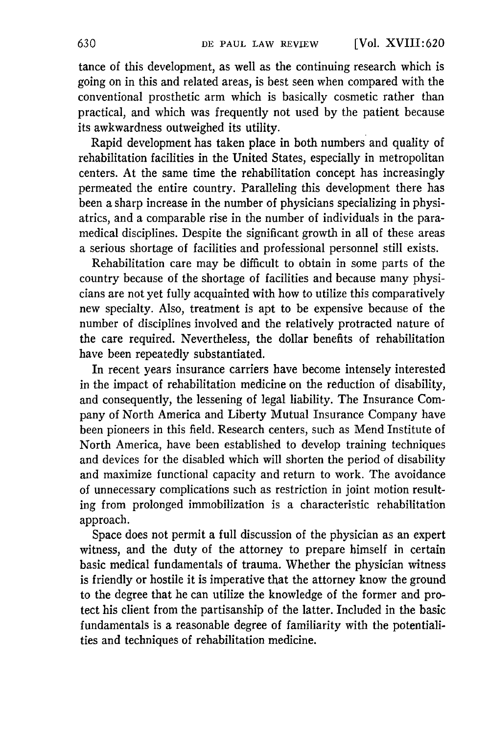tance of this development, as well as the continuing research which is going on in this and related areas, is best seen when compared with the conventional prosthetic arm which is basically cosmetic rather than practical, and which was frequently not used by the patient because its awkwardness outweighed its utility.

Rapid development has taken place in both numbers and quality of rehabilitation facilities in the United States, especially in metropolitan centers. At the same time the rehabilitation concept has increasingly permeated the entire country. Paralleling this development there has been a sharp increase in the number of physicians specializing in physiatrics, and a comparable rise in the number of individuals in the paramedical disciplines. Despite the significant growth in all of these areas a serious shortage of facilities and professional personnel still exists.

Rehabilitation care may be difficult to obtain in some parts of the country because of the shortage of facilities and because many physicians are not yet fully acquainted with how to utilize this comparatively new specialty. Also, treatment is apt to be expensive because of the number of disciplines involved and the relatively protracted nature of the care required. Nevertheless, the dollar benefits of rehabilitation have been repeatedly substantiated.

In recent years insurance carriers have become intensely interested in the impact of rehabilitation medicine on the reduction of disability, and consequently, the lessening of legal liability. The Insurance Company of North America and Liberty Mutual Insurance Company have been pioneers in this field. Research centers, such as Mend Institute of North America, have been established to develop training techniques and devices for the disabled which will shorten the period of disability and maximize functional capacity and return to work. The avoidance of unnecessary complications such as restriction in joint motion resulting from prolonged immobilization is a characteristic rehabilitation approach.

Space does not permit a full discussion of the physician as an expert witness, and the duty of the attorney to prepare himself in certain basic medical fundamentals of trauma. Whether the physician witness is friendly or hostile it is imperative that the attorney know the ground to the degree that he can utilize the knowledge of the former and protect his client from the partisanship of the latter. Included in the basic fundamentals is a reasonable degree of familiarity with the potentialities and techniques of rehabilitation medicine.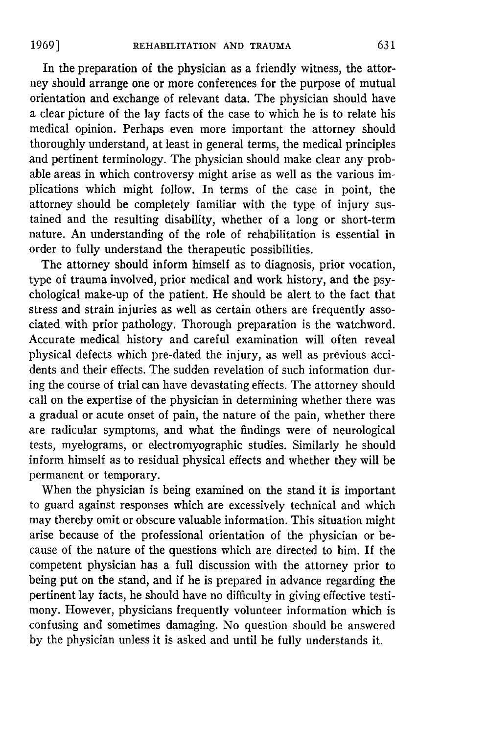In the preparation of the physician as a friendly witness, the attorney should arrange one or more conferences for the purpose of mutual orientation and exchange of relevant data. The physician should have a clear picture of the lay facts of the case to which he is to relate his medical opinion. Perhaps even more important the attorney should thoroughly understand, at least in general terms, the medical principles and pertinent terminology. The physician should make clear any probable areas in which controversy might arise as well as the various implications which might follow. In terms of the case in point, the attorney should be completely familiar with the type of injury sustained and the resulting disability, whether of a long or short-term nature. An understanding of the role of rehabilitation is essential in order to fully understand the therapeutic possibilities.

The attorney should inform himself as to diagnosis, prior vocation, type of trauma involved, prior medical and work history, and the psychological make-up of the patient. He should be alert to the fact that stress and strain injuries as well as certain others are frequently associated with prior pathology. Thorough preparation is the watchword. Accurate medical history and careful examination will often reveal physical defects which pre-dated the injury, as well as previous accidents and their effects. The sudden revelation of such information during the course of trial can have devastating effects. The attorney should call on the expertise of the physician in determining whether there was a gradual or acute onset of pain, the nature of the pain, whether there are radicular symptoms, and what the findings were of neurological tests, myelograms, or electromyographic studies. Similarly he should inform himself as to residual physical effects and whether they will be permanent or temporary.

When the physician is being examined on the stand it is important to guard against responses which are excessively technical and which may thereby omit or obscure valuable information. This situation might arise because of the professional orientation of the physician or because of the nature of the questions which are directed to him. If the competent physician has a full discussion with the attorney prior to being put on the stand, and if he is prepared in advance regarding the pertinent lay facts, he should have no difficulty in giving effective testimony. However, physicians frequently volunteer information which is confusing and sometimes damaging. No question should be answered by the physician unless it is asked and until he fully understands it.